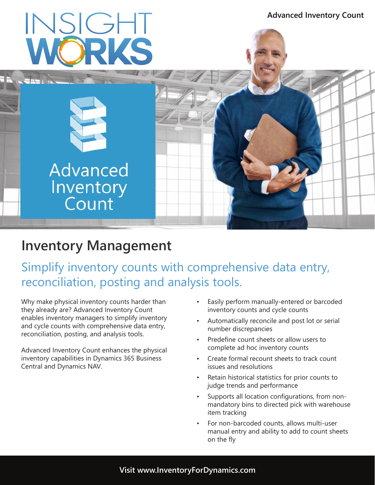

# **Inventory Management**

Simplify inventory counts with comprehensive data entry, reconciliation, posting and analysis tools.

Why make physical inventory counts harder than they already are? Advanced Inventory Count enables inventory managers to simplify inventory and cycle counts with comprehensive data entry, reconciliation, posting, and analysis tools.

Advanced Inventory Count enhances the physical inventory capabilities in Dynamics 365 Business Central and Dynamics NAV.

- Easily perform manually-entered or barcoded inventory counts and cycle counts
- Automatically reconcile and post lot or serial number discrepancies
- Predefine count sheets or allow users to complete ad hoc inventory counts
- Create formal recount sheets to track count issues and resolutions
- Retain historical statistics for prior counts to judge trends and performance
- Supports all location configurations, from nonmandatory bins to directed pick with warehouse item tracking
- For non-barcoded counts, allows multi-user manual entry and ability to add to count sheets on the fly